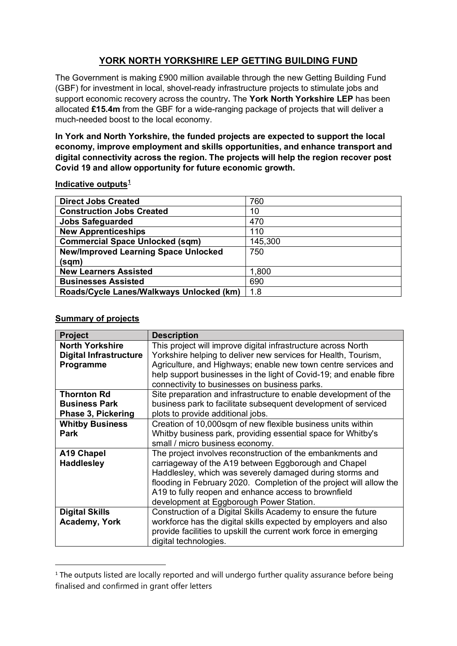## **YORK NORTH YORKSHIRE LEP GETTING BUILDING FUND**

The Government is making £900 million available through the new Getting Building Fund (GBF) for investment in local, shovel-ready infrastructure projects to stimulate jobs and support economic recovery across the country**.** The **York North Yorkshire LEP** has been allocated **£15.4m** from the GBF for a wide-ranging package of projects that will deliver a much-needed boost to the local economy.

**In York and North Yorkshire, the funded projects are expected to support the local economy, improve employment and skills opportunities, and enhance transport and digital connectivity across the region. The projects will help the region recover post Covid 19 and allow opportunity for future economic growth.** 

| <b>Direct Jobs Created</b>                  | 760     |
|---------------------------------------------|---------|
| <b>Construction Jobs Created</b>            | 10      |
| <b>Jobs Safeguarded</b>                     | 470     |
| <b>New Apprenticeships</b>                  | 110     |
| <b>Commercial Space Unlocked (sqm)</b>      | 145,300 |
| <b>New/Improved Learning Space Unlocked</b> | 750     |
| (sqm)                                       |         |
| <b>New Learners Assisted</b>                | 1,800   |
| <b>Businesses Assisted</b>                  | 690     |
| Roads/Cycle Lanes/Walkways Unlocked (km)    | 1.8     |

## **Indicative outputs[1](#page-0-0)**

## **Summary of projects**

| Project                       | <b>Description</b>                                                  |
|-------------------------------|---------------------------------------------------------------------|
| <b>North Yorkshire</b>        | This project will improve digital infrastructure across North       |
| <b>Digital Infrastructure</b> | Yorkshire helping to deliver new services for Health, Tourism,      |
| Programme                     | Agriculture, and Highways; enable new town centre services and      |
|                               | help support businesses in the light of Covid-19; and enable fibre  |
|                               | connectivity to businesses on business parks.                       |
| <b>Thornton Rd</b>            | Site preparation and infrastructure to enable development of the    |
| <b>Business Park</b>          | business park to facilitate subsequent development of serviced      |
| Phase 3, Pickering            | plots to provide additional jobs.                                   |
| <b>Whitby Business</b>        | Creation of 10,000sqm of new flexible business units within         |
| <b>Park</b>                   | Whitby business park, providing essential space for Whitby's        |
|                               | small / micro business economy.                                     |
| A19 Chapel                    | The project involves reconstruction of the embankments and          |
| <b>Haddlesley</b>             | carriageway of the A19 between Eggborough and Chapel                |
|                               | Haddlesley, which was severely damaged during storms and            |
|                               | flooding in February 2020. Completion of the project will allow the |
|                               | A19 to fully reopen and enhance access to brownfield                |
|                               | development at Eggborough Power Station.                            |
| <b>Digital Skills</b>         | Construction of a Digital Skills Academy to ensure the future       |
| <b>Academy, York</b>          | workforce has the digital skills expected by employers and also     |
|                               | provide facilities to upskill the current work force in emerging    |
|                               | digital technologies.                                               |

<span id="page-0-0"></span><sup>&</sup>lt;sup>1</sup> The outputs listed are locally reported and will undergo further quality assurance before being finalised and confirmed in grant offer letters